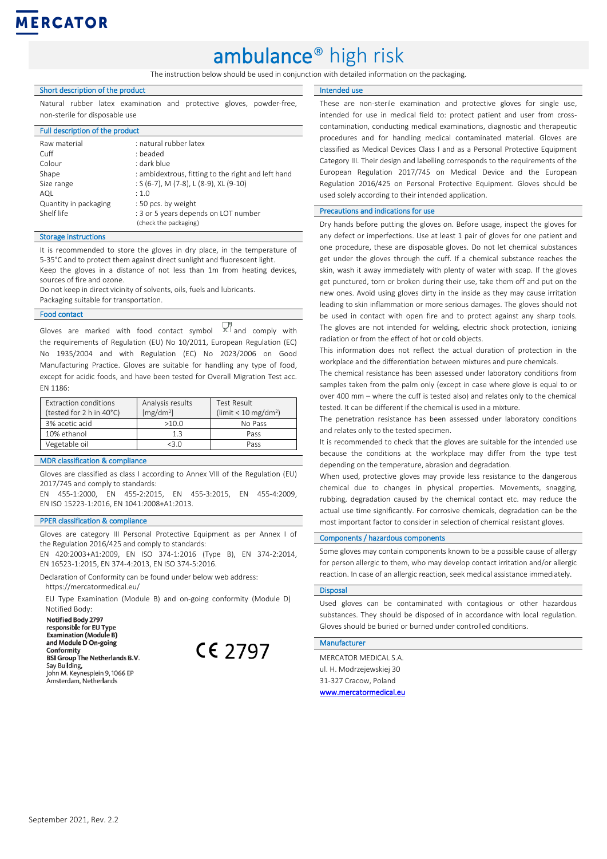# **MERCATOR**

# ambulance® high risk

The instruction below should be used in conjunction with detailed information on the packaging.

#### Short description of the product

Natural rubber latex examination and protective gloves, powder-free, non-sterile for disposable use

#### Full description of the product

| : natural rubber latex                                        |
|---------------------------------------------------------------|
| : beaded                                                      |
| : dark blue                                                   |
| : ambidextrous, fitting to the right and left hand            |
| : $S(6-7)$ , M $(7-8)$ , L $(8-9)$ , XL $(9-10)$              |
| .10                                                           |
| : 50 pcs. by weight                                           |
| : 3 or 5 years depends on LOT number<br>(check the packaging) |
|                                                               |

#### Storage instructions

It is recommended to store the gloves in dry place, in the temperature of 5-35°C and to protect them against direct sunlight and fluorescent light.

Keep the gloves in a distance of not less than 1m from heating devices, sources of fire and ozone.

Do not keep in direct vicinity of solvents, oils, fuels and lubricants.

Packaging suitable for transportation.

#### Food contact

Gloves are marked with food contact symbol  $X^{n}$  and comply with the requirements of Regulation (EU) No 10/2011, European Regulation (EC) No 1935/2004 and with Regulation (EC) No 2023/2006 on Good Manufacturing Practice. Gloves are suitable for handling any type of food, except for acidic foods, and have been tested for Overall Migration Test acc. EN 1186:

| Extraction conditions    | Analysis results      | Test Result                      |
|--------------------------|-----------------------|----------------------------------|
| (tested for 2 h in 40°C) | [mg/dm <sup>2</sup> ] | (limit < 10 mg/dm <sup>2</sup> ) |
| 3% acetic acid           | >10.0                 | No Pass                          |
| 10% ethanol              | 13                    | Pass                             |
| Vegetable oil            | 73 N                  | Pass                             |

### MDR classification & compliance

Gloves are classified as class I according to Annex VIII of the Regulation (EU) 2017/745 and comply to standards:

EN 455-1:2000, EN 455-2:2015, EN 455-3:2015, EN 455-4:2009, EN ISO 15223-1:2016, EN 1041:2008+A1:2013.

#### PPER classification & compliance

Gloves are category III Personal Protective Equipment as per Annex I of the Regulation 2016/425 and comply to standards:

EN 420:2003+A1:2009, EN ISO 374-1:2016 (Type B), EN 374-2:2014, EN 16523-1:2015, EN 374-4:2013, EN ISO 374-5:2016.

Declaration of Conformity can be found under below web address:

[https://mercatormedical.eu/](https://mercatormedical.eu/produkty/rekawice/diagnostyczne) EU Type Examination (Module B) and on-going conformity (Module D)

Notified Body:

Notified Body 2797 responsible for EU Type **Examination (Module B)** and Module D On-going Conformity **BSI Group The Netherlands B.V.** Say Building,<br>John M. Keynesplein 9, 1066 EP Amsterdam, Netherlands

 $CE$  2797

Intended use

These are non-sterile examination and protective gloves for single use, intended for use in medical field to: protect patient and user from crosscontamination, conducting medical examinations, diagnostic and therapeutic procedures and for handling medical contaminated material. Gloves are classified as Medical Devices Class I and as a Personal Protective Equipment Category III. Their design and labelling corresponds to the requirements of the European Regulation 2017/745 on Medical Device and the European Regulation 2016/425 on Personal Protective Equipment. Gloves should be used solely according to their intended application.

#### Precautions and indications for use

Dry hands before putting the gloves on. Before usage, inspect the gloves for any defect or imperfections. Use at least 1 pair of gloves for one patient and one procedure, these are disposable gloves. Do not let chemical substances get under the gloves through the cuff. If a chemical substance reaches the skin, wash it away immediately with plenty of water with soap. If the gloves get punctured, torn or broken during their use, take them off and put on the new ones. Avoid using gloves dirty in the inside as they may cause irritation leading to skin inflammation or more serious damages. The gloves should not be used in contact with open fire and to protect against any sharp tools. The gloves are not intended for welding, electric shock protection, ionizing radiation or from the effect of hot or cold objects.

This information does not reflect the actual duration of protection in the workplace and the differentiation between mixtures and pure chemicals.

The chemical resistance has been assessed under laboratory conditions from samples taken from the palm only (except in case where glove is equal to or over 400 mm – where the cuff is tested also) and relates only to the chemical tested. It can be different if the chemical is used in a mixture.

The penetration resistance has been assessed under laboratory conditions and relates only to the tested specimen.

It is recommended to check that the gloves are suitable for the intended use because the conditions at the workplace may differ from the type test depending on the temperature, abrasion and degradation.

When used, protective gloves may provide less resistance to the dangerous chemical due to changes in physical properties. Movements, snagging, rubbing, degradation caused by the chemical contact etc. may reduce the actual use time significantly. For corrosive chemicals, degradation can be the most important factor to consider in selection of chemical resistant gloves.

#### Components / hazardous components

Some gloves may contain components known to be a possible cause of allergy for person allergic to them, who may develop contact irritation and/or allergic reaction. In case of an allergic reaction, seek medical assistance immediately.

#### **Disposal**

Used gloves can be contaminated with contagious or other hazardous substances. They should be disposed of in accordance with local regulation. Gloves should be buried or burned under controlled conditions.

### Manufacturer

MERCATOR MEDICAL S.A. ul. H. Modrzejewskiej 30 31-327 Cracow, Poland [www.mercatormedical.eu](http://www.mercatormedical.eu/)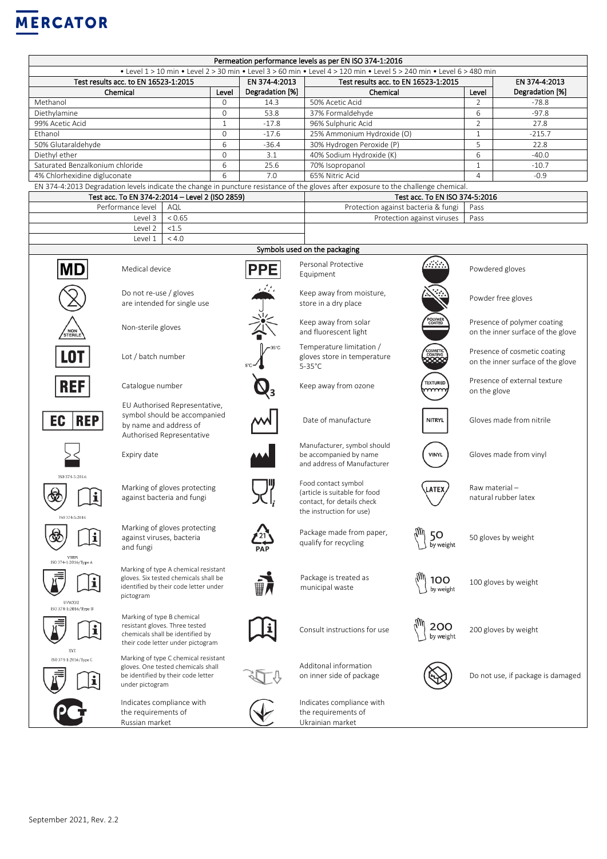